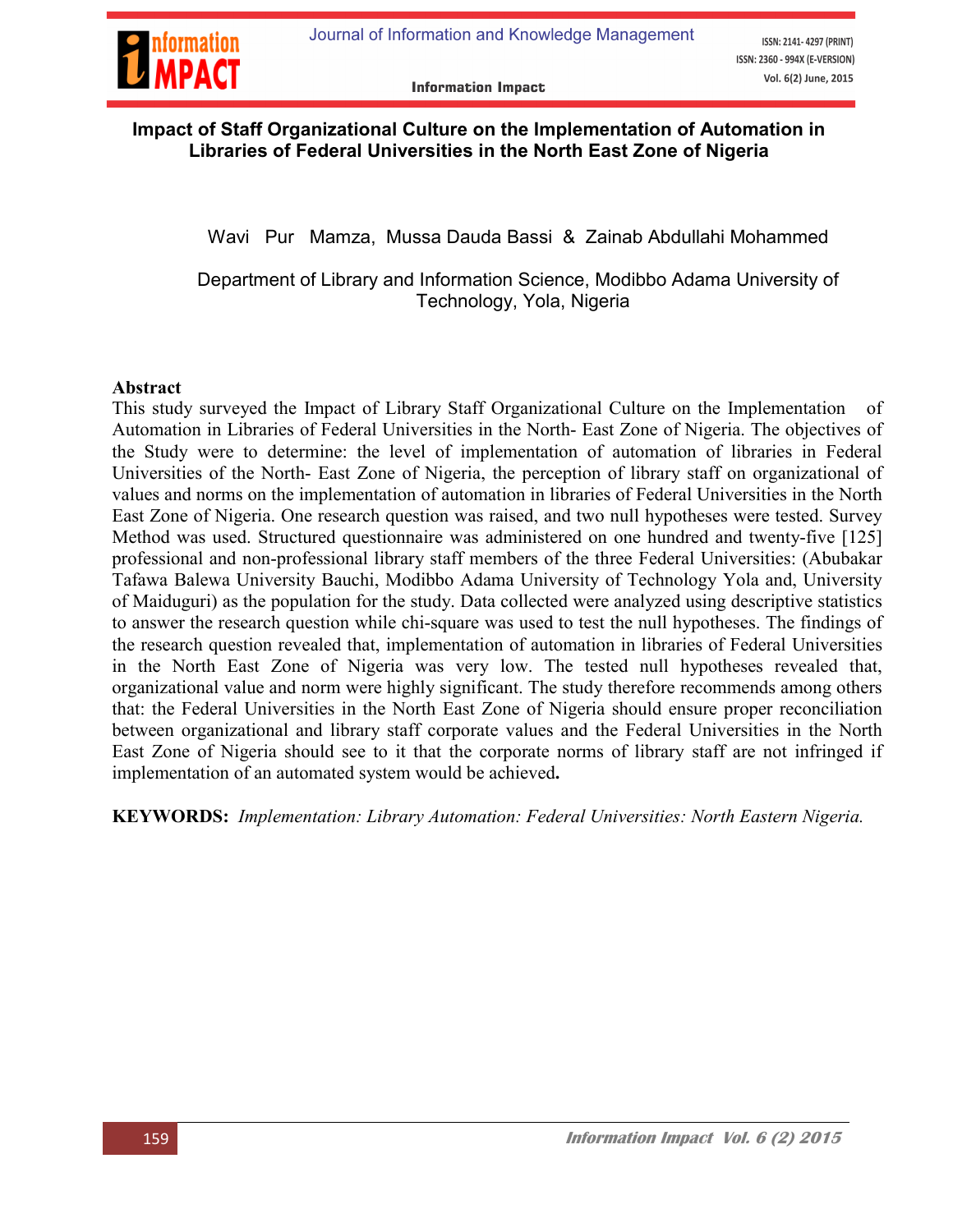

### Impact of Staff Organizational Culture on the Implementation of Automation in Libraries of Federal Universities in the North East Zone of Nigeria

Wavi Pur Mamza, Mussa Dauda Bassi & Zainab Abdullahi Mohammed

Department of Library and Information Science, Modibbo Adama University of Technology, Yola, Nigeria

#### Abstract

This study surveyed the Impact of Library Staff Organizational Culture on the Implementation of Automation in Libraries of Federal Universities in the North- East Zone of Nigeria. The objectives of the Study were to determine: the level of implementation of automation of libraries in Federal Universities of the North- East Zone of Nigeria, the perception of library staff on organizational of values and norms on the implementation of automation in libraries of Federal Universities in the North East Zone of Nigeria. One research question was raised, and two null hypotheses were tested. Survey Method was used. Structured questionnaire was administered on one hundred and twenty-five [125] professional and non-professional library staff members of the three Federal Universities: (Abubakar Tafawa Balewa University Bauchi, Modibbo Adama University of Technology Yola and, University of Maiduguri) as the population for the study. Data collected were analyzed using descriptive statistics to answer the research question while chi-square was used to test the null hypotheses. The findings of the research question revealed that, implementation of automation in libraries of Federal Universities in the North East Zone of Nigeria was very low. The tested null hypotheses revealed that, organizational value and norm were highly significant. The study therefore recommends among others that: the Federal Universities in the North East Zone of Nigeria should ensure proper reconciliation between organizational and library staff corporate values and the Federal Universities in the North East Zone of Nigeria should see to it that the corporate norms of library staff are not infringed if implementation of an automated system would be achieved.

KEYWORDS: *Implementation: Library Automation: Federal Universities: North Eastern Nigeria.*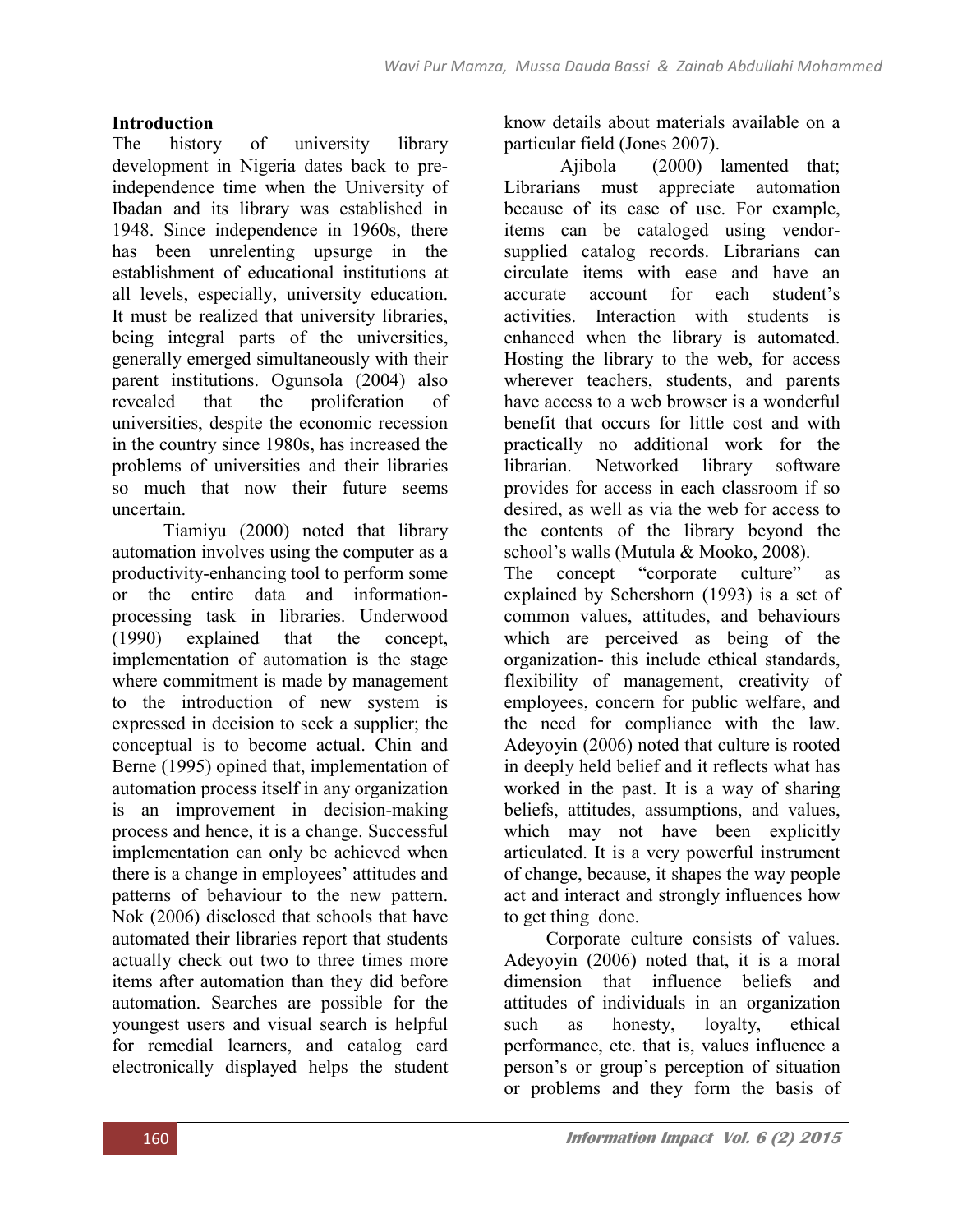### Introduction

The history of university library development in Nigeria dates back to preindependence time when the University of Ibadan and its library was established in 1948. Since independence in 1960s, there has been unrelenting upsurge in the establishment of educational institutions at all levels, especially, university education. It must be realized that university libraries, being integral parts of the universities, generally emerged simultaneously with their parent institutions. Ogunsola (2004) also revealed that the proliferation of universities, despite the economic recession in the country since 1980s, has increased the problems of universities and their libraries so much that now their future seems uncertain.

 Tiamiyu (2000) noted that library automation involves using the computer as a productivity-enhancing tool to perform some or the entire data and informationprocessing task in libraries. Underwood (1990) explained that the concept, implementation of automation is the stage where commitment is made by management to the introduction of new system is expressed in decision to seek a supplier; the conceptual is to become actual. Chin and Berne (1995) opined that, implementation of automation process itself in any organization is an improvement in decision-making process and hence, it is a change. Successful implementation can only be achieved when there is a change in employees' attitudes and patterns of behaviour to the new pattern. Nok (2006) disclosed that schools that have automated their libraries report that students actually check out two to three times more items after automation than they did before automation. Searches are possible for the youngest users and visual search is helpful for remedial learners, and catalog card electronically displayed helps the student know details about materials available on a particular field (Jones 2007).

Ajibola (2000) lamented that; Librarians must appreciate automation because of its ease of use. For example, items can be cataloged using vendorsupplied catalog records. Librarians can circulate items with ease and have an accurate account for each student's activities. Interaction with students is enhanced when the library is automated. Hosting the library to the web, for access wherever teachers, students, and parents have access to a web browser is a wonderful benefit that occurs for little cost and with practically no additional work for the librarian. Networked library software provides for access in each classroom if so desired, as well as via the web for access to the contents of the library beyond the school's walls (Mutula & Mooko, 2008).

The concept "corporate culture" as explained by Schershorn (1993) is a set of common values, attitudes, and behaviours which are perceived as being of the organization- this include ethical standards, flexibility of management, creativity of employees, concern for public welfare, and the need for compliance with the law. Adeyoyin (2006) noted that culture is rooted in deeply held belief and it reflects what has worked in the past. It is a way of sharing beliefs, attitudes, assumptions, and values, which may not have been explicitly articulated. It is a very powerful instrument of change, because, it shapes the way people act and interact and strongly influences how to get thing done.

Corporate culture consists of values. Adeyoyin (2006) noted that, it is a moral dimension that influence beliefs and attitudes of individuals in an organization such as honesty, loyalty, ethical performance, etc. that is, values influence a person's or group's perception of situation or problems and they form the basis of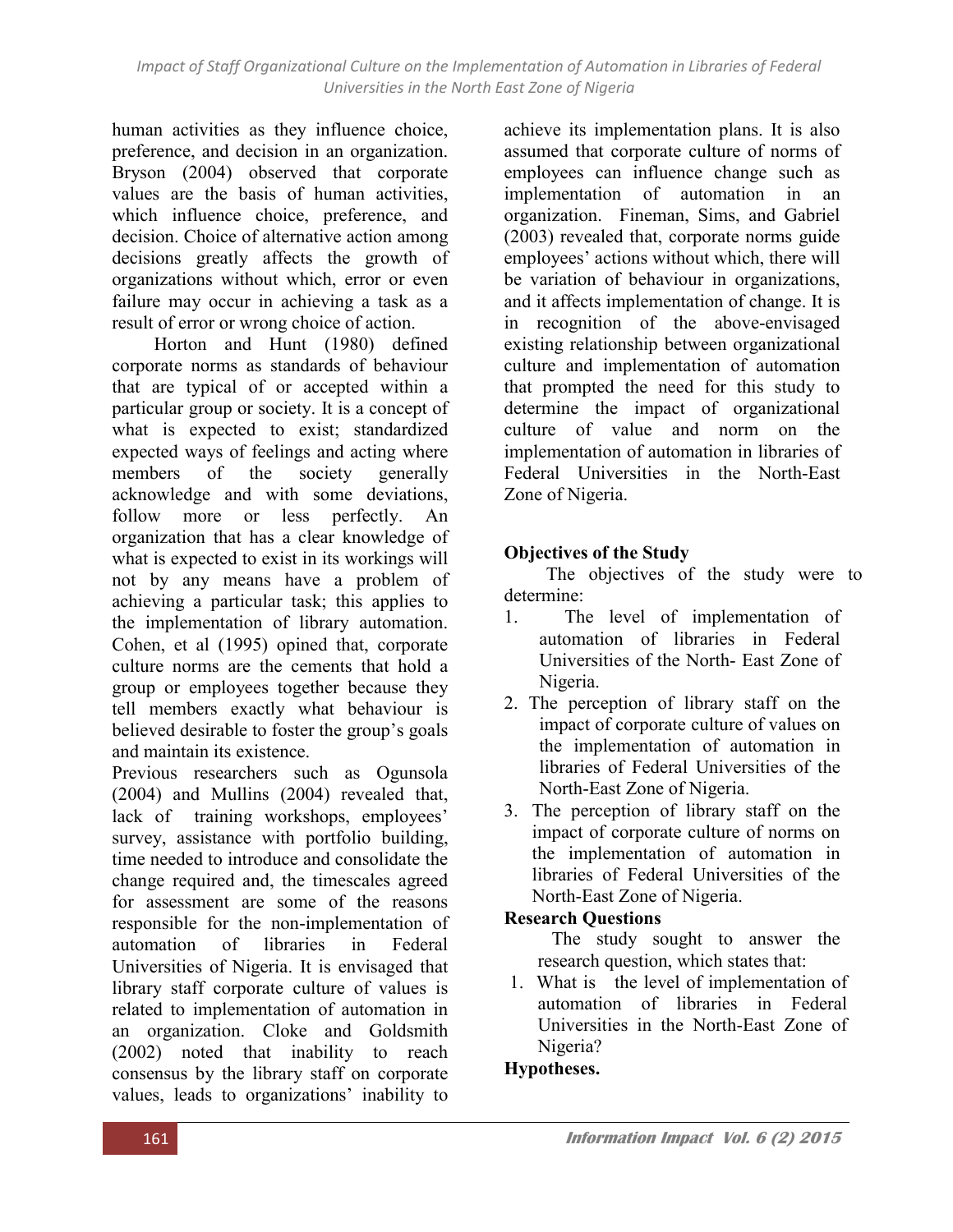human activities as they influence choice, preference, and decision in an organization. Bryson (2004) observed that corporate values are the basis of human activities, which influence choice, preference, and decision. Choice of alternative action among decisions greatly affects the growth of organizations without which, error or even failure may occur in achieving a task as a result of error or wrong choice of action.

Horton and Hunt (1980) defined corporate norms as standards of behaviour that are typical of or accepted within a particular group or society. It is a concept of what is expected to exist; standardized expected ways of feelings and acting where members of the society generally acknowledge and with some deviations, follow more or less perfectly. An organization that has a clear knowledge of what is expected to exist in its workings will not by any means have a problem of achieving a particular task; this applies to the implementation of library automation. Cohen, et al (1995) opined that, corporate culture norms are the cements that hold a group or employees together because they tell members exactly what behaviour is believed desirable to foster the group's goals and maintain its existence.

Previous researchers such as Ogunsola (2004) and Mullins (2004) revealed that, lack of training workshops, employees' survey, assistance with portfolio building, time needed to introduce and consolidate the change required and, the timescales agreed for assessment are some of the reasons responsible for the non-implementation of automation of libraries in Federal Universities of Nigeria. It is envisaged that library staff corporate culture of values is related to implementation of automation in an organization. Cloke and Goldsmith (2002) noted that inability to reach consensus by the library staff on corporate values, leads to organizations' inability to

achieve its implementation plans. It is also assumed that corporate culture of norms of employees can influence change such as implementation of automation in an organization. Fineman, Sims, and Gabriel (2003) revealed that, corporate norms guide employees' actions without which, there will be variation of behaviour in organizations, and it affects implementation of change. It is in recognition of the above-envisaged existing relationship between organizational culture and implementation of automation that prompted the need for this study to determine the impact of organizational culture of value and norm on the implementation of automation in libraries of Federal Universities in the North-East Zone of Nigeria.

## Objectives of the Study

The objectives of the study were to determine:

- 1. The level of implementation of automation of libraries in Federal Universities of the North- East Zone of Nigeria.
- 2. The perception of library staff on the impact of corporate culture of values on the implementation of automation in libraries of Federal Universities of the North-East Zone of Nigeria.
- 3. The perception of library staff on the impact of corporate culture of norms on the implementation of automation in libraries of Federal Universities of the North-East Zone of Nigeria.

## Research Questions

- The study sought to answer the research question, which states that:
- 1. What is the level of implementation of automation of libraries in Federal Universities in the North-East Zone of Nigeria?

# Hypotheses.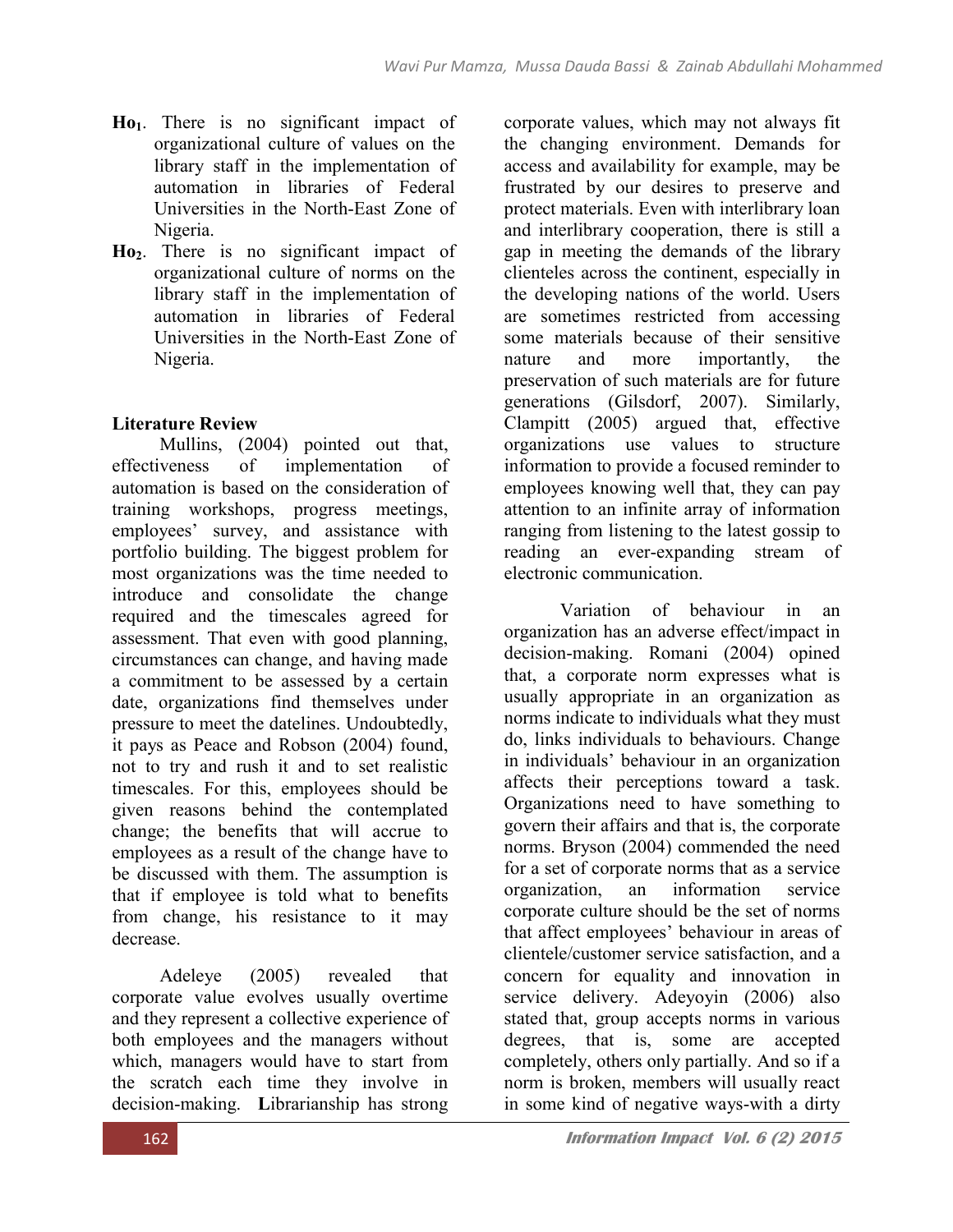- $Ho<sub>1</sub>$ . There is no significant impact of organizational culture of values on the library staff in the implementation of automation in libraries of Federal Universities in the North-East Zone of Nigeria.
- Ho2. There is no significant impact of organizational culture of norms on the library staff in the implementation of automation in libraries of Federal Universities in the North-East Zone of Nigeria.

# Literature Review

Mullins, (2004) pointed out that, effectiveness of implementation of automation is based on the consideration of training workshops, progress meetings, employees' survey, and assistance with portfolio building. The biggest problem for most organizations was the time needed to introduce and consolidate the change required and the timescales agreed for assessment. That even with good planning, circumstances can change, and having made a commitment to be assessed by a certain date, organizations find themselves under pressure to meet the datelines. Undoubtedly, it pays as Peace and Robson (2004) found, not to try and rush it and to set realistic timescales. For this, employees should be given reasons behind the contemplated change; the benefits that will accrue to employees as a result of the change have to be discussed with them. The assumption is that if employee is told what to benefits from change, his resistance to it may decrease.

Adeleye (2005) revealed that corporate value evolves usually overtime and they represent a collective experience of both employees and the managers without which, managers would have to start from the scratch each time they involve in decision-making. Librarianship has strong

corporate values, which may not always fit the changing environment. Demands for access and availability for example, may be frustrated by our desires to preserve and protect materials. Even with interlibrary loan and interlibrary cooperation, there is still a gap in meeting the demands of the library clienteles across the continent, especially in the developing nations of the world. Users are sometimes restricted from accessing some materials because of their sensitive nature and more importantly, the preservation of such materials are for future generations (Gilsdorf, 2007). Similarly, Clampitt (2005) argued that, effective organizations use values to structure information to provide a focused reminder to employees knowing well that, they can pay attention to an infinite array of information ranging from listening to the latest gossip to reading an ever-expanding stream of electronic communication.

Variation of behaviour in an organization has an adverse effect/impact in decision-making. Romani (2004) opined that, a corporate norm expresses what is usually appropriate in an organization as norms indicate to individuals what they must do, links individuals to behaviours. Change in individuals' behaviour in an organization affects their perceptions toward a task. Organizations need to have something to govern their affairs and that is, the corporate norms. Bryson (2004) commended the need for a set of corporate norms that as a service organization, an information service corporate culture should be the set of norms that affect employees' behaviour in areas of clientele/customer service satisfaction, and a concern for equality and innovation in service delivery. Adeyoyin (2006) also stated that, group accepts norms in various degrees, that is, some are accepted completely, others only partially. And so if a norm is broken, members will usually react in some kind of negative ways-with a dirty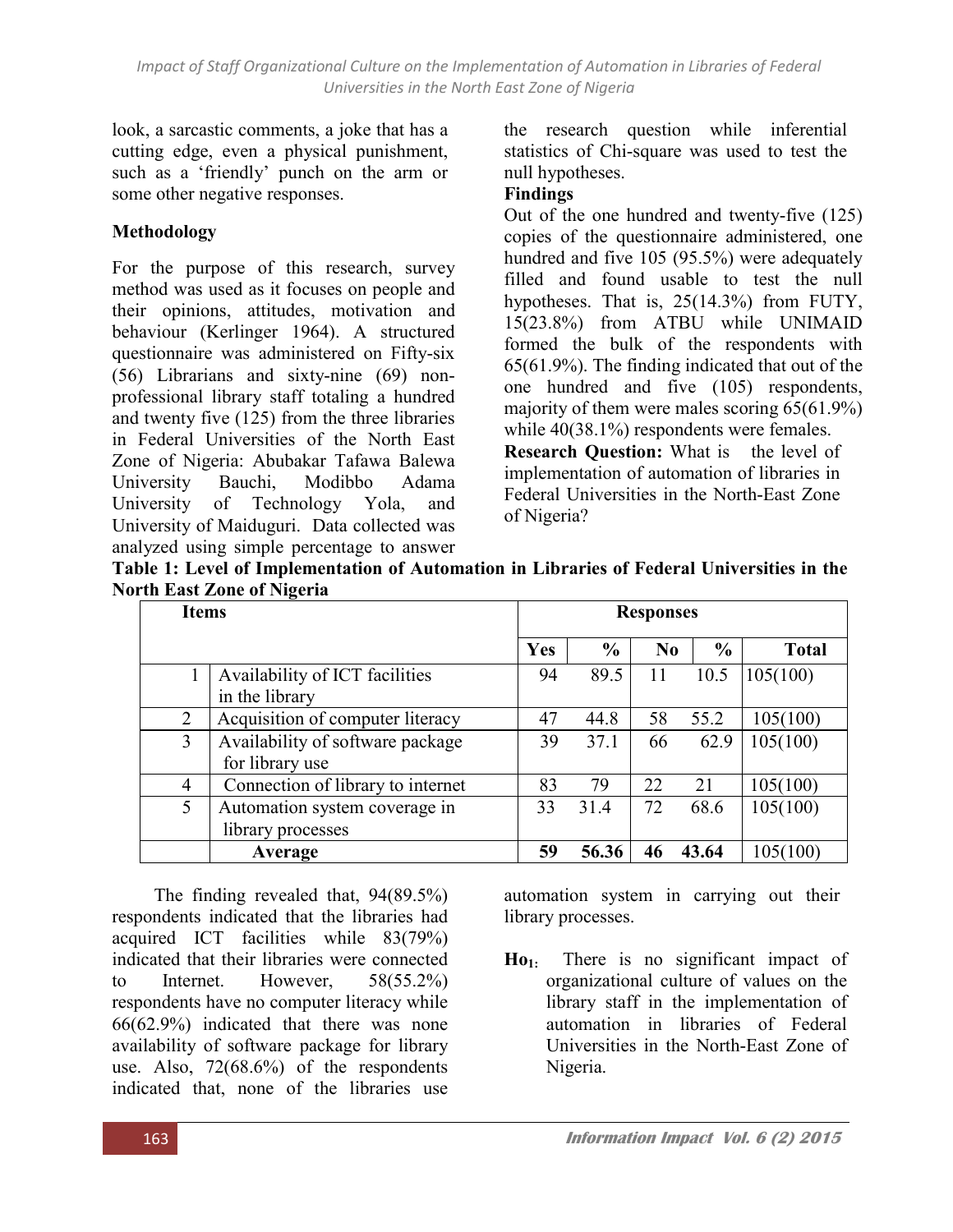look, a sarcastic comments, a joke that has a cutting edge, even a physical punishment, such as a 'friendly' punch on the arm or some other negative responses.

### Methodology

For the purpose of this research, survey method was used as it focuses on people and their opinions, attitudes, motivation and behaviour (Kerlinger 1964). A structured questionnaire was administered on Fifty-six (56) Librarians and sixty-nine (69) nonprofessional library staff totaling a hundred and twenty five (125) from the three libraries in Federal Universities of the North East Zone of Nigeria: Abubakar Tafawa Balewa University Bauchi, Modibbo Adama University of Technology Yola, and University of Maiduguri. Data collected was analyzed using simple percentage to answer

the research question while inferential statistics of Chi-square was used to test the null hypotheses.

#### Findings

Out of the one hundred and twenty-five (125) copies of the questionnaire administered, one hundred and five 105 (95.5%) were adequately filled and found usable to test the null hypotheses. That is,  $25(14.3%)$  from FUTY, 15(23.8%) from ATBU while UNIMAID formed the bulk of the respondents with 65(61.9%). The finding indicated that out of the one hundred and five (105) respondents, majority of them were males scoring 65(61.9%) while  $40(38.1\%)$  respondents were females. Research Question: What is the level of implementation of automation of libraries in Federal Universities in the North-East Zone of Nigeria?

| Table 1: Level of Implementation of Automation in Libraries of Federal Universities in the |  |  |  |
|--------------------------------------------------------------------------------------------|--|--|--|
| <b>North East Zone of Nigeria</b>                                                          |  |  |  |

| <b>Items</b>   |                                                     | <b>Responses</b> |               |                |               |              |  |
|----------------|-----------------------------------------------------|------------------|---------------|----------------|---------------|--------------|--|
|                |                                                     | Yes              | $\frac{6}{9}$ | N <sub>0</sub> | $\frac{6}{9}$ | <b>Total</b> |  |
|                | Availability of ICT facilities<br>in the library    | 94               | 89.5          | 11             | 10.5          | 105(100)     |  |
| 2              | Acquisition of computer literacy                    | 47               | 44.8          | 58             | 55.2          | 105(100)     |  |
| 3              | Availability of software package<br>for library use | 39               | 37.1          | 66             | 62.9          | 105(100)     |  |
| $\overline{4}$ | Connection of library to internet                   | 83               | 79            | 22             | 21            | 105(100)     |  |
| 5              | Automation system coverage in<br>library processes  | 33               | 31.4          | 72             | 68.6          | 105(100)     |  |
|                | Average                                             | 59               | 56.36         | 46             | 43.64         | 105(100)     |  |

The finding revealed that, 94(89.5%) respondents indicated that the libraries had acquired ICT facilities while 83(79%) indicated that their libraries were connected to Internet. However, 58(55.2%) respondents have no computer literacy while 66(62.9%) indicated that there was none availability of software package for library use. Also, 72(68.6%) of the respondents indicated that, none of the libraries use

automation system in carrying out their library processes.

 $Ho<sub>1</sub>$ . There is no significant impact of organizational culture of values on the library staff in the implementation of automation in libraries of Federal Universities in the North-East Zone of Nigeria.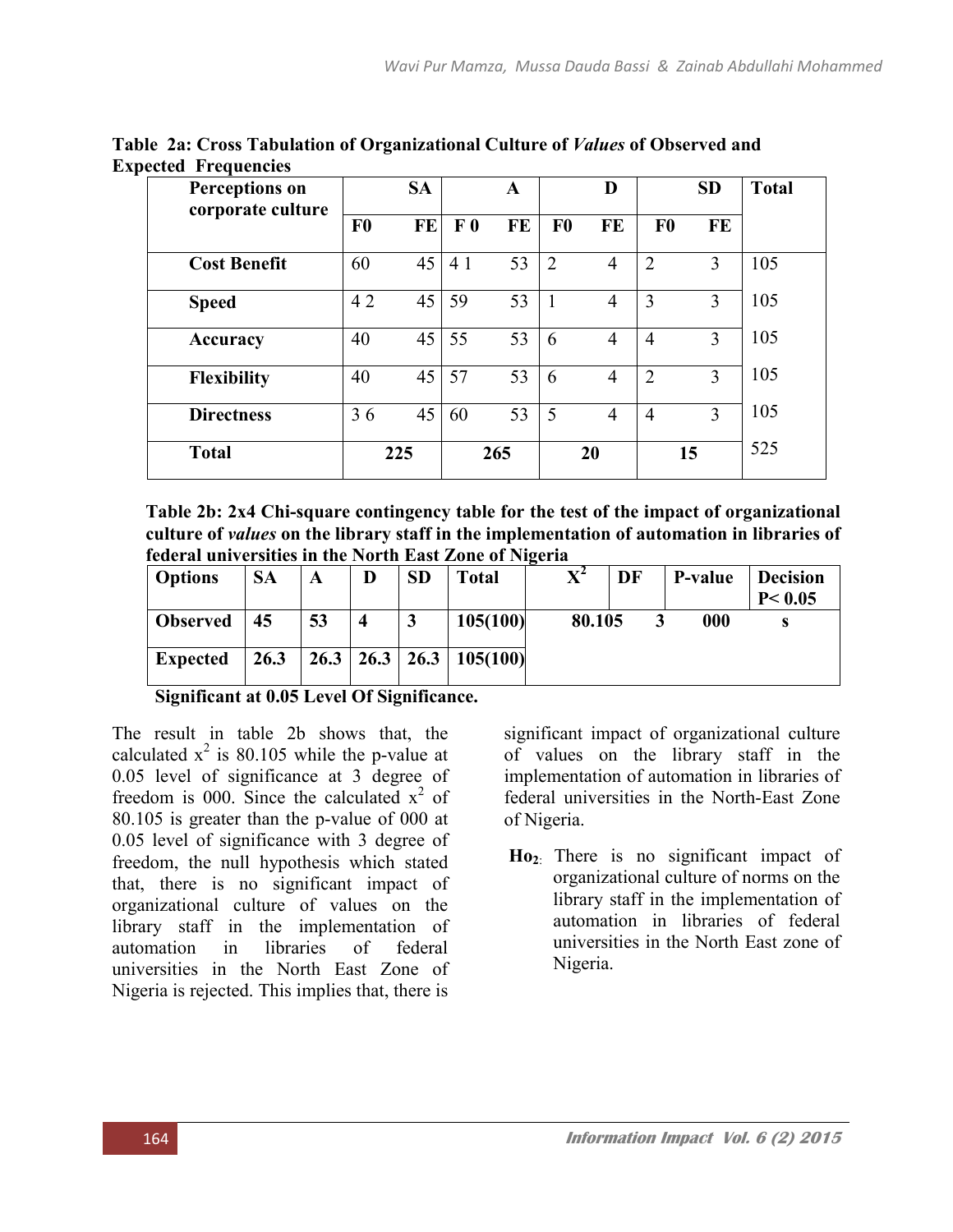| <b>Perceptions on</b><br>corporate culture |                | <b>SA</b> |                | $\mathbf A$ |                | D              |                | <b>SD</b> | <b>Total</b> |
|--------------------------------------------|----------------|-----------|----------------|-------------|----------------|----------------|----------------|-----------|--------------|
|                                            | F <sub>0</sub> | <b>FE</b> | F <sub>0</sub> | <b>FE</b>   | F <sub>0</sub> | FE             | F <sub>0</sub> | FE        |              |
| <b>Cost Benefit</b>                        | 60             | 45        | 4 1            | 53          | $\overline{2}$ | $\overline{4}$ | $\overline{2}$ | 3         | 105          |
| <b>Speed</b>                               | 42             | 45        | 59             | 53          |                | 4              | 3              | 3         | 105          |
| Accuracy                                   | 40             | 45        | 55             | 53          | 6              | 4              | $\overline{4}$ | 3         | 105          |
| <b>Flexibility</b>                         | 40             | 45        | 57             | 53          | 6              | $\overline{4}$ | $\overline{2}$ | 3         | 105          |
| <b>Directness</b>                          | 36             | 45        | 60             | 53          | 5              | $\overline{4}$ | $\overline{4}$ | 3         | 105          |
| <b>Total</b>                               |                | 225       |                | 265         |                | 20             |                | 15        | 525          |

Table 2a: Cross Tabulation of Organizational Culture of *Values* of Observed and Expected Frequencies

Table 2b: 2x4 Chi-square contingency table for the test of the impact of organizational culture of *values* on the library staff in the implementation of automation in libraries of federal universities in the North East Zone of Nigeria

| <b>Options</b>  | <b>SA</b> | A  | D | <b>SD</b> | Total                           | -<br>${\bf X}^2$ | DF | P-value | <b>Decision</b><br>P < 0.05 |
|-----------------|-----------|----|---|-----------|---------------------------------|------------------|----|---------|-----------------------------|
| <b>Observed</b> | 45        | 53 |   | 3         | 105(100)                        | 80.105           |    | 000     |                             |
| <b>Expected</b> | 26.3      |    |   |           | $26.3$   26.3   26.3   105(100) |                  |    |         |                             |

Significant at 0.05 Level Of Significance.

The result in table 2b shows that, the calculated  $x^2$  is 80.105 while the p-value at 0.05 level of significance at 3 degree of freedom is 000. Since the calculated  $x^2$  of 80.105 is greater than the p-value of 000 at 0.05 level of significance with 3 degree of freedom, the null hypothesis which stated that, there is no significant impact of organizational culture of values on the library staff in the implementation of automation in libraries of federal universities in the North East Zone of Nigeria is rejected. This implies that, there is

significant impact of organizational culture of values on the library staff in the implementation of automation in libraries of federal universities in the North-East Zone of Nigeria.

 $Ho<sub>2</sub>$ : There is no significant impact of organizational culture of norms on the library staff in the implementation of automation in libraries of federal universities in the North East zone of Nigeria.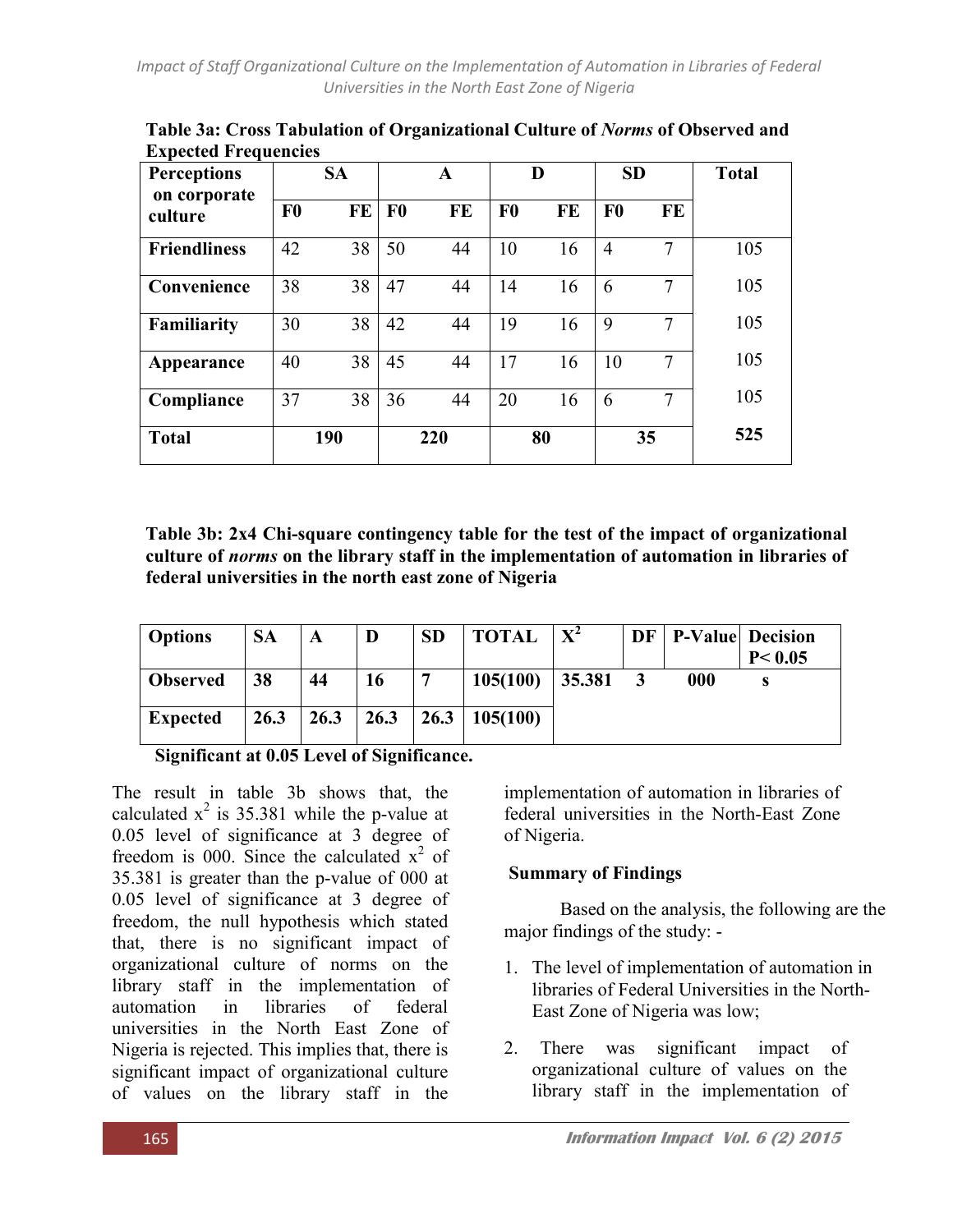| <b>Perceptions</b>      | <b>SA</b>      |    |                | D<br>A    |                |    | <b>SD</b>      |               | <b>Total</b> |
|-------------------------|----------------|----|----------------|-----------|----------------|----|----------------|---------------|--------------|
| on corporate<br>culture | F <sub>0</sub> | FE | F <sub>0</sub> | <b>FE</b> | F <sub>0</sub> | FE | F <sub>0</sub> | FE            |              |
| <b>Friendliness</b>     | 42             | 38 | 50             | 44        | 10             | 16 | $\overline{4}$ |               | 105          |
| Convenience             | 38             | 38 | 47             | 44        | 14             | 16 | 6              | 7             | 105          |
| Familiarity             | 30             | 38 | 42             | 44        | 19             | 16 | 9              | $\mathcal{I}$ | 105          |
| Appearance              | 40             | 38 | 45             | 44        | 17             | 16 | 10             | $\mathcal{I}$ | 105          |
| Compliance              | 37             | 38 | 36             | 44        | 20             | 16 | 6              |               | 105          |
| <b>Total</b>            | 190            |    | 220            |           | 80             |    | 35             |               | 525          |

Table 3a: Cross Tabulation of Organizational Culture of *Norms* of Observed and **Expected Frequencies** 

Table 3b: 2x4 Chi-square contingency table for the test of the impact of organizational culture of *norms* on the library staff in the implementation of automation in libraries of federal universities in the north east zone of Nigeria

| <b>Options</b>           | <b>SA</b> | A    | D                            | <b>SD</b>      | <b>TOTAL</b> | $X^2$  | <b>DF</b>   <b>P-Value</b> Decision | P < 0.05 |
|--------------------------|-----------|------|------------------------------|----------------|--------------|--------|-------------------------------------|----------|
| <b>Observed</b>          | 38        | 44   | 16                           | −              | 105(100)     | 35.381 | 000                                 | S        |
| <b>Expected</b>          | 26.3      | 26.3 | 26.3                         | 26.3           | 105(100)     |        |                                     |          |
| $\cdot$ $\sim$<br>$\sim$ |           |      | $\mathbf{r} \cap \mathbf{r}$ | $\cdot$ $\sim$ |              |        |                                     |          |

Significant at 0.05 Level of Significance.

The result in table 3b shows that, the calculated  $x^2$  is 35.381 while the p-value at 0.05 level of significance at 3 degree of freedom is 000. Since the calculated  $x^2$  of 35.381 is greater than the p-value of 000 at 0.05 level of significance at 3 degree of freedom, the null hypothesis which stated that, there is no significant impact of organizational culture of norms on the library staff in the implementation of automation in libraries of federal universities in the North East Zone of Nigeria is rejected. This implies that, there is significant impact of organizational culture of values on the library staff in the

implementation of automation in libraries of federal universities in the North-East Zone of Nigeria.

## Summary of Findings

 Based on the analysis, the following are the major findings of the study: -

- 1. The level of implementation of automation in libraries of Federal Universities in the North-East Zone of Nigeria was low;
- 2. There was significant impact of organizational culture of values on the library staff in the implementation of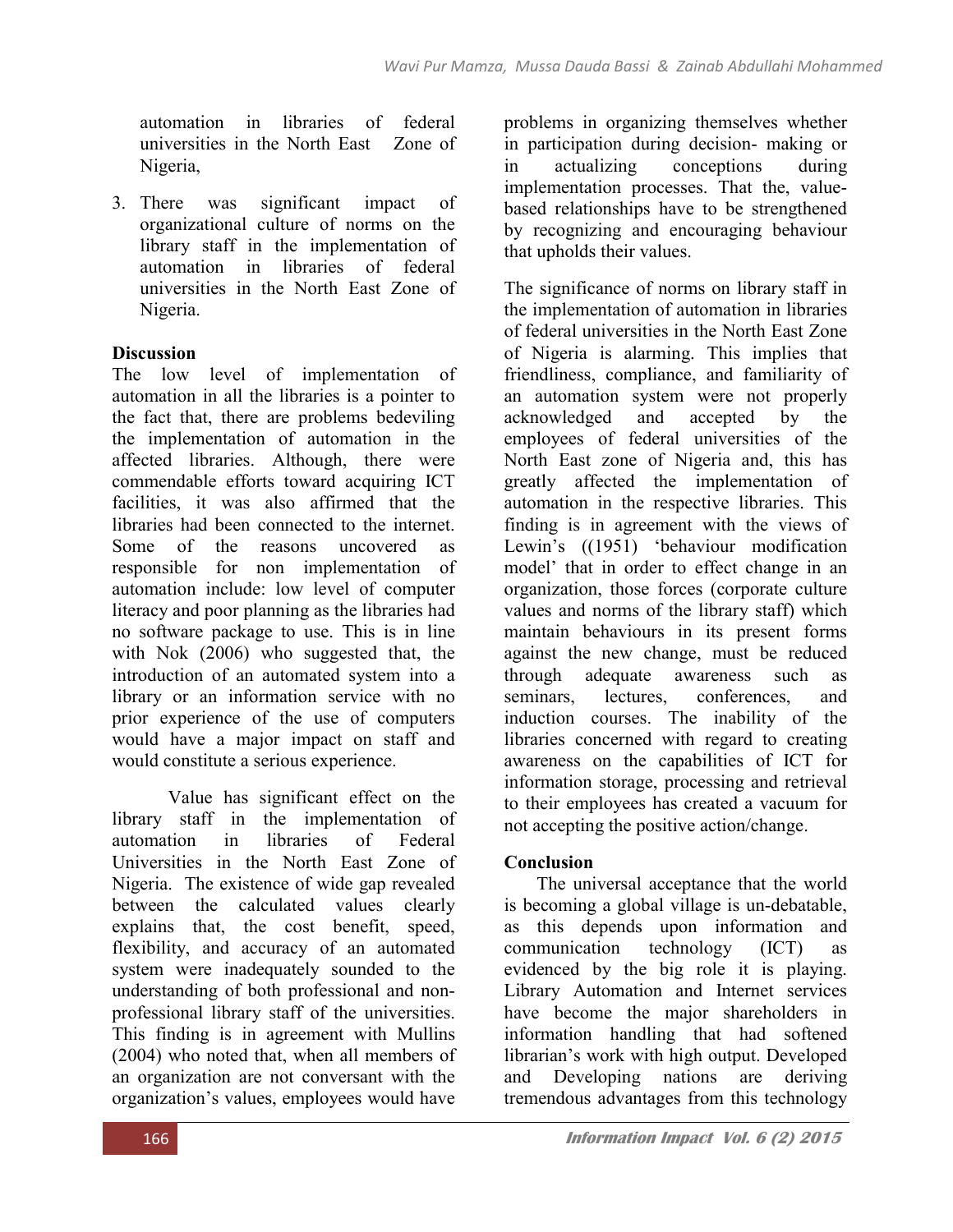automation in libraries of federal universities in the North East Zone of Nigeria,

3. There was significant impact of organizational culture of norms on the library staff in the implementation of automation in libraries of federal universities in the North East Zone of Nigeria.

# **Discussion**

The low level of implementation of automation in all the libraries is a pointer to the fact that, there are problems bedeviling the implementation of automation in the affected libraries. Although, there were commendable efforts toward acquiring ICT facilities, it was also affirmed that the libraries had been connected to the internet. Some of the reasons uncovered as responsible for non implementation of automation include: low level of computer literacy and poor planning as the libraries had no software package to use. This is in line with Nok (2006) who suggested that, the introduction of an automated system into a library or an information service with no prior experience of the use of computers would have a major impact on staff and would constitute a serious experience.

Value has significant effect on the library staff in the implementation of automation in libraries of Federal Universities in the North East Zone of Nigeria. The existence of wide gap revealed between the calculated values clearly explains that, the cost benefit, speed, flexibility, and accuracy of an automated system were inadequately sounded to the understanding of both professional and nonprofessional library staff of the universities. This finding is in agreement with Mullins (2004) who noted that, when all members of an organization are not conversant with the organization's values, employees would have

problems in organizing themselves whether in participation during decision- making or<br>in actualizing conceptions during in actualizing conceptions during implementation processes. That the, valuebased relationships have to be strengthened by recognizing and encouraging behaviour that upholds their values.

The significance of norms on library staff in the implementation of automation in libraries of federal universities in the North East Zone of Nigeria is alarming. This implies that friendliness, compliance, and familiarity of an automation system were not properly acknowledged and accepted by the employees of federal universities of the North East zone of Nigeria and, this has greatly affected the implementation of automation in the respective libraries. This finding is in agreement with the views of Lewin's ((1951) 'behaviour modification model' that in order to effect change in an organization, those forces (corporate culture values and norms of the library staff) which maintain behaviours in its present forms against the new change, must be reduced through adequate awareness such as seminars, lectures, conferences, and induction courses. The inability of the libraries concerned with regard to creating awareness on the capabilities of ICT for information storage, processing and retrieval to their employees has created a vacuum for not accepting the positive action/change.

# Conclusion

The universal acceptance that the world is becoming a global village is un-debatable, as this depends upon information and communication technology (ICT) as evidenced by the big role it is playing. Library Automation and Internet services have become the major shareholders in information handling that had softened librarian's work with high output. Developed and Developing nations are deriving tremendous advantages from this technology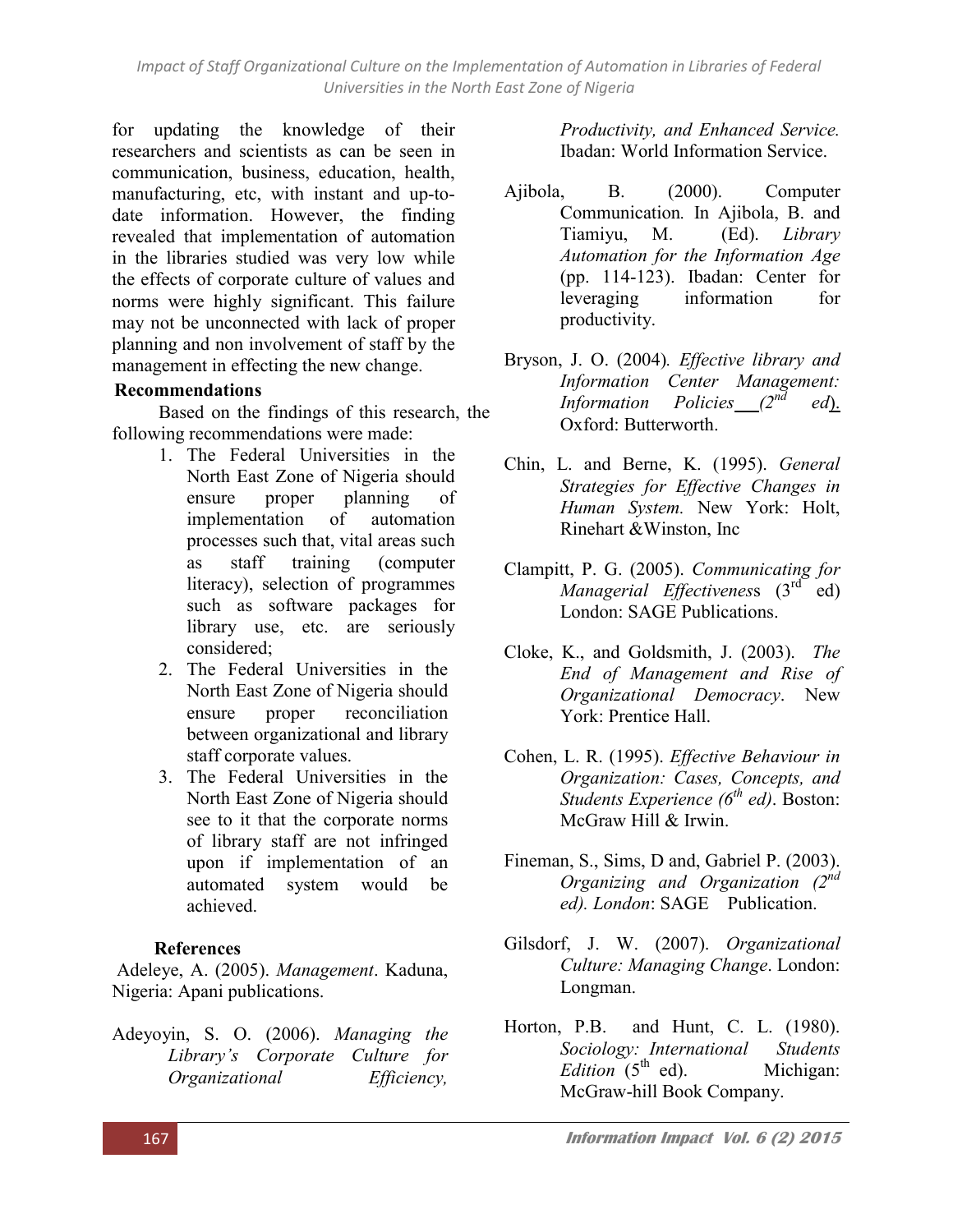*Impact of Staff Organizational Culture on the Implementation of Automation in Libraries of Federal Universities in the North East Zone of Nigeria*

for updating the knowledge of their researchers and scientists as can be seen in communication, business, education, health, manufacturing, etc, with instant and up-todate information. However, the finding revealed that implementation of automation in the libraries studied was very low while the effects of corporate culture of values and norms were highly significant. This failure may not be unconnected with lack of proper planning and non involvement of staff by the management in effecting the new change.

#### Recommendations

Based on the findings of this research, the following recommendations were made:

- 1. The Federal Universities in the North East Zone of Nigeria should ensure proper planning of implementation of automation processes such that, vital areas such as staff training (computer literacy), selection of programmes such as software packages for library use, etc. are seriously considered;
- 2. The Federal Universities in the North East Zone of Nigeria should ensure proper reconciliation between organizational and library staff corporate values.
- 3. The Federal Universities in the North East Zone of Nigeria should see to it that the corporate norms of library staff are not infringed upon if implementation of an automated system would be achieved.

#### **References**

Adeleye, A. (2005). *Management*. Kaduna, Nigeria: Apani publications.

Adeyoyin, S. O. (2006). *Managing the Library's Corporate Culture for Organizational Efficiency,* 

*Productivity, and Enhanced Service.* Ibadan: World Information Service.

- Ajibola, B. (2000). Computer Communication*.* In Ajibola, B. and Tiamiyu, M. (Ed). *Library Automation for the Information Age* (pp. 114-123). Ibadan: Center for leveraging information for productivity.
- Bryson, J. O. (2004)*. Effective library and Information Center Management: Information Policies (2nd ed*). Oxford: Butterworth.
- Chin, L. and Berne, K. (1995). *General Strategies for Effective Changes in Human System.* New York: Holt, Rinehart &Winston, Inc
- Clampitt, P. G. (2005). *Communicating for Managerial Effectiveness* (3<sup>rd</sup> ed) London: SAGE Publications.
- Cloke, K., and Goldsmith, J. (2003). *The End of Management and Rise of Organizational Democracy*. New York: Prentice Hall.
- Cohen, L. R. (1995). *Effective Behaviour in Organization: Cases, Concepts, and Students Experience (6th ed)*. Boston: McGraw Hill & Irwin.
- Fineman, S., Sims, D and, Gabriel P. (2003). *Organizing and Organization (2nd ed). London*: SAGE Publication.
- Gilsdorf, J. W. (2007). *Organizational Culture: Managing Change*. London: Longman.
- Horton, P.B. and Hunt, C. L. (1980). *Sociology: International Students*   $Edition$  (5<sup>th</sup> ed). Michigan: McGraw-hill Book Company.